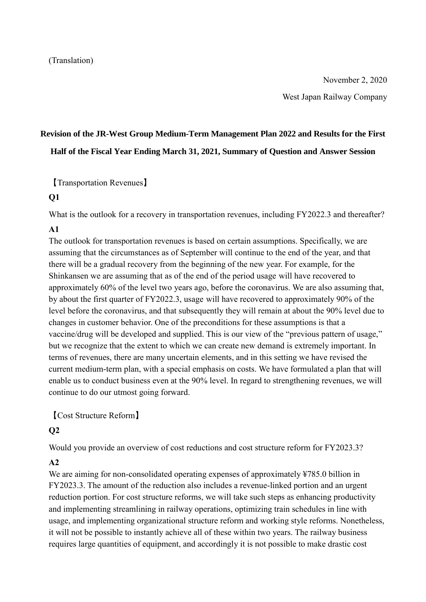November 2, 2020

West Japan Railway Company

# **Revision of the JR-West Group Medium-Term Management Plan 2022 and Results for the First Half of the Fiscal Year Ending March 31, 2021, Summary of Question and Answer Session**

【Transportation Revenues】

#### **Q1**

What is the outlook for a recovery in transportation revenues, including FY2022.3 and thereafter?

## **A1**

The outlook for transportation revenues is based on certain assumptions. Specifically, we are assuming that the circumstances as of September will continue to the end of the year, and that there will be a gradual recovery from the beginning of the new year. For example, for the Shinkansen we are assuming that as of the end of the period usage will have recovered to approximately 60% of the level two years ago, before the coronavirus. We are also assuming that, by about the first quarter of FY2022.3, usage will have recovered to approximately 90% of the level before the coronavirus, and that subsequently they will remain at about the 90% level due to changes in customer behavior. One of the preconditions for these assumptions is that a vaccine/drug will be developed and supplied. This is our view of the "previous pattern of usage," but we recognize that the extent to which we can create new demand is extremely important. In terms of revenues, there are many uncertain elements, and in this setting we have revised the current medium-term plan, with a special emphasis on costs. We have formulated a plan that will enable us to conduct business even at the 90% level. In regard to strengthening revenues, we will continue to do our utmost going forward.

【Cost Structure Reform】

## **Q2**

Would you provide an overview of cost reductions and cost structure reform for FY2023.3?

## **A2**

We are aiming for non-consolidated operating expenses of approximately ¥785.0 billion in FY2023.3. The amount of the reduction also includes a revenue-linked portion and an urgent reduction portion. For cost structure reforms, we will take such steps as enhancing productivity and implementing streamlining in railway operations, optimizing train schedules in line with usage, and implementing organizational structure reform and working style reforms. Nonetheless, it will not be possible to instantly achieve all of these within two years. The railway business requires large quantities of equipment, and accordingly it is not possible to make drastic cost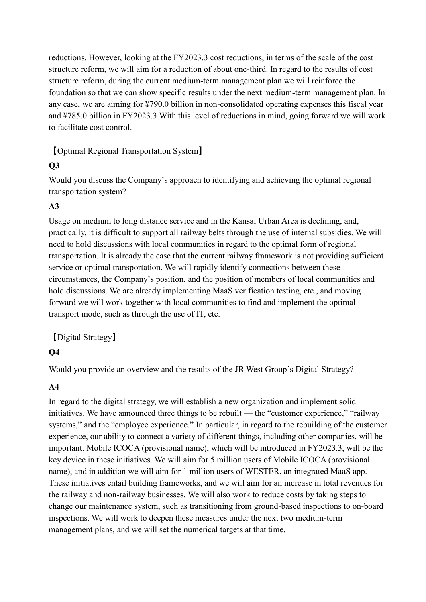reductions. However, looking at the FY2023.3 cost reductions, in terms of the scale of the cost structure reform, we will aim for a reduction of about one-third. In regard to the results of cost structure reform, during the current medium-term management plan we will reinforce the foundation so that we can show specific results under the next medium-term management plan. In any case, we are aiming for ¥790.0 billion in non-consolidated operating expenses this fiscal year and ¥785.0 billion in FY2023.3.With this level of reductions in mind, going forward we will work to facilitate cost control.

【Optimal Regional Transportation System】

## **Q3**

Would you discuss the Company's approach to identifying and achieving the optimal regional transportation system?

## **A3**

Usage on medium to long distance service and in the Kansai Urban Area is declining, and, practically, it is difficult to support all railway belts through the use of internal subsidies. We will need to hold discussions with local communities in regard to the optimal form of regional transportation. It is already the case that the current railway framework is not providing sufficient service or optimal transportation. We will rapidly identify connections between these circumstances, the Company's position, and the position of members of local communities and hold discussions. We are already implementing MaaS verification testing, etc., and moving forward we will work together with local communities to find and implement the optimal transport mode, such as through the use of IT, etc.

【Digital Strategy】

## **Q4**

Would you provide an overview and the results of the JR West Group's Digital Strategy?

## **A4**

In regard to the digital strategy, we will establish a new organization and implement solid initiatives. We have announced three things to be rebuilt — the "customer experience," "railway systems," and the "employee experience." In particular, in regard to the rebuilding of the customer experience, our ability to connect a variety of different things, including other companies, will be important. Mobile ICOCA (provisional name), which will be introduced in FY2023.3, will be the key device in these initiatives. We will aim for 5 million users of Mobile ICOCA (provisional name), and in addition we will aim for 1 million users of WESTER, an integrated MaaS app. These initiatives entail building frameworks, and we will aim for an increase in total revenues for the railway and non-railway businesses. We will also work to reduce costs by taking steps to change our maintenance system, such as transitioning from ground-based inspections to on-board inspections. We will work to deepen these measures under the next two medium-term management plans, and we will set the numerical targets at that time.